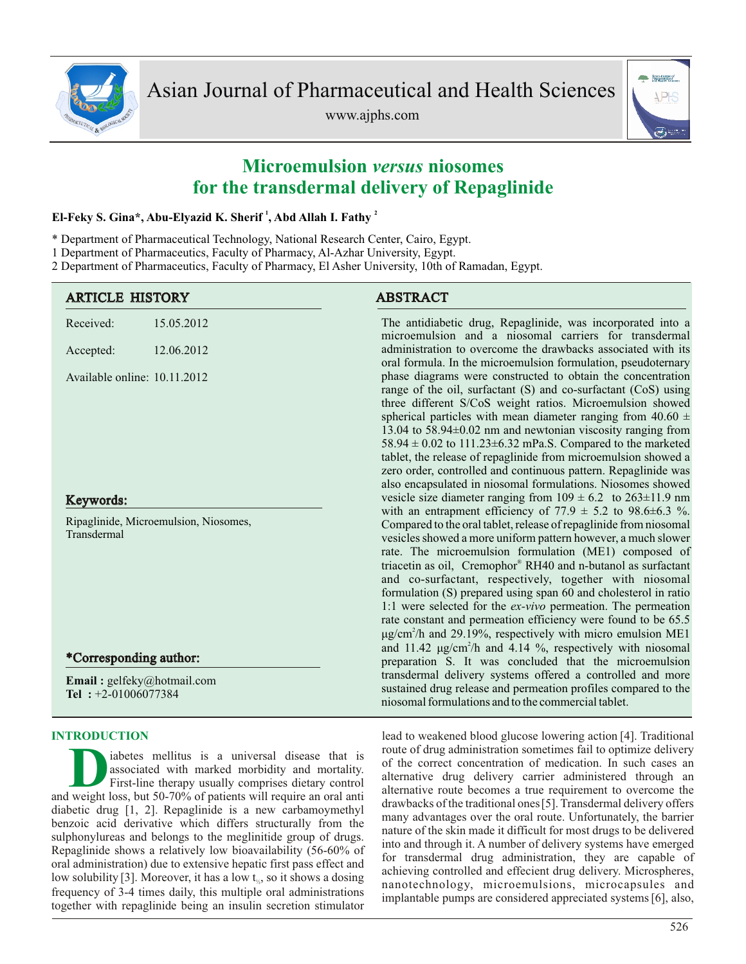

www.ajphs.com



# **Microemulsion** *versus* **niosomes for the transdermal delivery of Repaglinide**

# **<sup>1</sup> <sup>2</sup> El-Feky S. Gina\*, Abu-Elyazid K. Sherif , Abd Allah I. Fathy**

- \* Department of Pharmaceutical Technology, National Research Center, Cairo, Egypt.
- 1 Department of Pharmaceutics, Faculty of Pharmacy, Al-Azhar University, Egypt.

2 Department of Pharmaceutics, Faculty of Pharmacy, El Asher University, 10th of Ramadan, Egypt.

| <b>ARTICLE HISTORY</b>                                                         | <b>ABSTRACT</b>                                                                                                                                                                                                                                                                                                                                                                                                                                                                                                                                                                                                                                                                                                                                                                                                             |  |  |
|--------------------------------------------------------------------------------|-----------------------------------------------------------------------------------------------------------------------------------------------------------------------------------------------------------------------------------------------------------------------------------------------------------------------------------------------------------------------------------------------------------------------------------------------------------------------------------------------------------------------------------------------------------------------------------------------------------------------------------------------------------------------------------------------------------------------------------------------------------------------------------------------------------------------------|--|--|
| Received:<br>15.05.2012                                                        | The antidiabetic drug, Repaglinide, was incorporated into a<br>microemulsion and a niosomal carriers for transdermal                                                                                                                                                                                                                                                                                                                                                                                                                                                                                                                                                                                                                                                                                                        |  |  |
| 12.06.2012<br>Accepted:                                                        | administration to overcome the drawbacks associated with its<br>oral formula. In the microemulsion formulation, pseudoternary                                                                                                                                                                                                                                                                                                                                                                                                                                                                                                                                                                                                                                                                                               |  |  |
| Available online: 10.11.2012                                                   | phase diagrams were constructed to obtain the concentration<br>range of the oil, surfactant (S) and co-surfactant (CoS) using<br>three different S/CoS weight ratios. Microemulsion showed<br>spherical particles with mean diameter ranging from $40.60 \pm$<br>13.04 to 58.94 $\pm$ 0.02 nm and newtonian viscosity ranging from<br>58.94 $\pm$ 0.02 to 111.23 $\pm$ 6.32 mPa.S. Compared to the marketed<br>tablet, the release of repaglinide from microemulsion showed a<br>zero order, controlled and continuous pattern. Repaglinide was<br>also encapsulated in niosomal formulations. Niosomes showed                                                                                                                                                                                                              |  |  |
| Keywords:                                                                      | vesicle size diameter ranging from $109 \pm 6.2$ to $263 \pm 11.9$ nm                                                                                                                                                                                                                                                                                                                                                                                                                                                                                                                                                                                                                                                                                                                                                       |  |  |
| Ripaglinide, Microemulsion, Niosomes,<br>Transdermal<br>*Corresponding author: | with an entrapment efficiency of 77.9 $\pm$ 5.2 to 98.6 $\pm$ 6.3 %.<br>Compared to the oral tablet, release of repaglinide from niosomal<br>vesicles showed a more uniform pattern however, a much slower<br>rate. The microemulsion formulation (ME1) composed of<br>triacetin as oil, Cremophor® RH40 and n-butanol as surfactant<br>and co-surfactant, respectively, together with niosomal<br>formulation (S) prepared using span 60 and cholesterol in ratio<br>1:1 were selected for the ex-vivo permeation. The permeation<br>rate constant and permeation efficiency were found to be 65.5<br>$\mu$ g/cm <sup>2</sup> /h and 29.19%, respectively with micro emulsion ME1<br>and 11.42 $\mu$ g/cm <sup>2</sup> /h and 4.14 %, respectively with niosomal<br>preparation S. It was concluded that the microemulsion |  |  |
| Email: gelfeky@hotmail.com<br>Tel: $+2-01006077384$                            | transdermal delivery systems offered a controlled and more<br>sustained drug release and permeation profiles compared to the<br>niosomal formulations and to the commercial tablet.                                                                                                                                                                                                                                                                                                                                                                                                                                                                                                                                                                                                                                         |  |  |
| <b>INTRODUCTION</b>                                                            | lead to weakened blood glucose lowering action [4]. Traditional                                                                                                                                                                                                                                                                                                                                                                                                                                                                                                                                                                                                                                                                                                                                                             |  |  |

abetes mellitus is a universal disease that is<br>
associated with marked morbidity and mortality.<br>
First-line therapy usually comprises dietary control<br>
and weight loss, but 50-70% of patients will require an oral anti iabetes mellitus is a universal disease that is associated with marked morbidity and mortality. First-line therapy usually comprises dietary control diabetic drug [1, 2]. Repaglinide is a new carbamoymethyl benzoic acid derivative which differs structurally from the sulphonylureas and belongs to the meglinitide group of drugs. Repaglinide shows a relatively low bioavailability (56-60% of oral administration) due to extensive hepatic first pass effect and low solubility [3]. Moreover, it has a low  $t_{\kappa}$ , so it shows a dosing frequency of 3-4 times daily, this multiple oral administrations together with repaglinide being an insulin secretion stimulator

lead to weakened blood glucose lowering action [4]. Traditional route of drug administration sometimes fail to optimize delivery of the correct concentration of medication. In such cases an alternative drug delivery carrier administered through an alternative route becomes a true requirement to overcome the drawbacks of the traditional ones[5]. Transdermal delivery offers many advantages over the oral route. Unfortunately, the barrier nature of the skin made it difficult for most drugs to be delivered into and through it. A number of delivery systems have emerged for transdermal drug administration, they are capable of achieving controlled and effecient drug delivery. Microspheres, nanotechnology, microemulsions, microcapsules and implantable pumps are considered appreciated systems[6], also,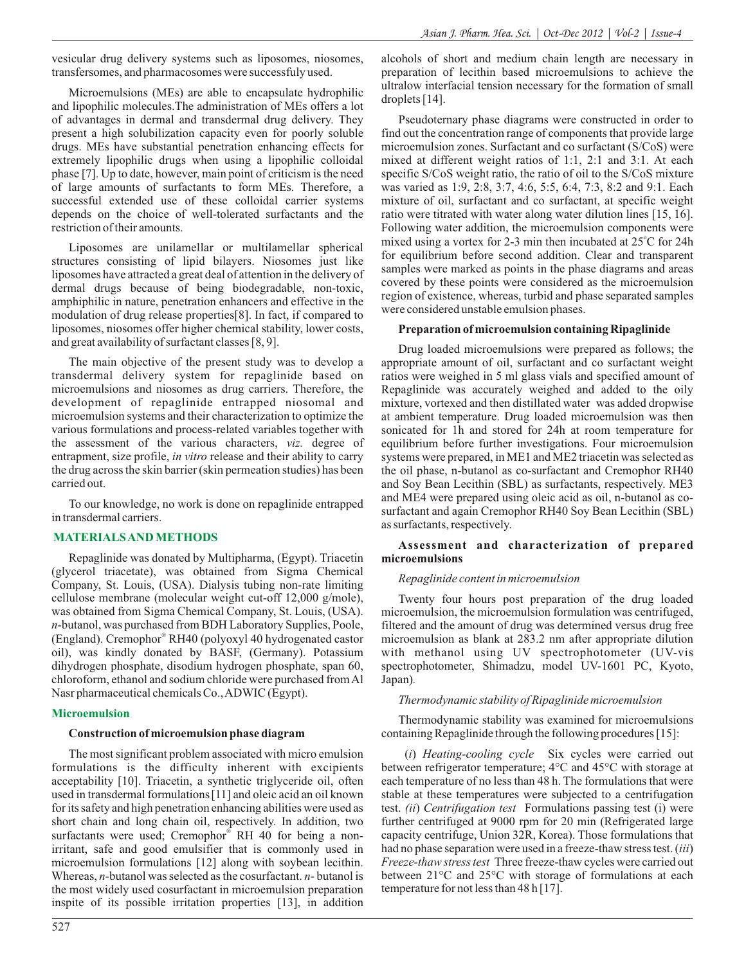vesicular drug delivery systems such as liposomes, niosomes, transfersomes, and pharmacosomes were successfuly used.

Microemulsions (MEs) are able to encapsulate hydrophilic and lipophilic molecules.The administration of MEs offers a lot of advantages in dermal and transdermal drug delivery. They present a high solubilization capacity even for poorly soluble drugs. MEs have substantial penetration enhancing effects for extremely lipophilic drugs when using a lipophilic colloidal phase [7]. Up to date, however, main point of criticism is the need of large amounts of surfactants to form MEs. Therefore, a successful extended use of these colloidal carrier systems depends on the choice of well-tolerated surfactants and the restriction of their amounts.

Liposomes are unilamellar or multilamellar spherical structures consisting of lipid bilayers. Niosomes just like liposomes have attracted a great deal of attention in the delivery of dermal drugs because of being biodegradable, non-toxic, amphiphilic in nature, penetration enhancers and effective in the modulation of drug release properties[8]. In fact, if compared to liposomes, niosomes offer higher chemical stability, lower costs, and great availability of surfactant classes [8, 9].

The main objective of the present study was to develop a transdermal delivery system for repaglinide based on microemulsions and niosomes as drug carriers. Therefore, the development of repaglinide entrapped niosomal and microemulsion systems and their characterization to optimize the various formulations and process-related variables together with the assessment of the various characters, *viz.* degree of entrapment, size profile, *in vitro* release and their ability to carry the drug across the skin barrier (skin permeation studies) has been carried out.

To our knowledge, no work is done on repaglinide entrapped in transdermal carriers.

# **MATERIALS AND METHODS**

Repaglinide was donated by Multipharma, (Egypt). Triacetin (glycerol triacetate), was obtained from Sigma Chemical Company, St. Louis, (USA). Dialysis tubing non-rate limiting cellulose membrane (molecular weight cut-off 12,000 g/mole), was obtained from Sigma Chemical Company, St. Louis, (USA). *n-*butanol, was purchased from BDH Laboratory Supplies, Poole, (England). Cremophor® RH40 (polyoxyl 40 hydrogenated castor oil), was kindly donated by BASF, (Germany). Potassium dihydrogen phosphate, disodium hydrogen phosphate, span 60, chloroform, ethanol and sodium chloride were purchased from Al Nasr pharmaceutical chemicals Co., ADWIC (Egypt).

# **Microemulsion**

# **Construction of microemulsion phase diagram**

The most significant problem associated with micro emulsion formulations is the difficulty inherent with excipients acceptability [10]. Triacetin, a synthetic triglyceride oil, often used in transdermal formulations[11] and oleic acid an oil known for its safety and high penetration enhancing abilities were used as short chain and long chain oil, respectively. In addition, two surfactants were used; Cremophor® RH 40 for being a nonirritant, safe and good emulsifier that is commonly used in microemulsion formulations [12] along with soybean lecithin. Whereas, *n-*butanol was selected as the cosurfactant. *n*- butanol is the most widely used cosurfactant in microemulsion preparation inspite of its possible irritation properties [13], in addition

alcohols of short and medium chain length are necessary in preparation of lecithin based microemulsions to achieve the ultralow interfacial tension necessary for the formation of small droplets [14].

Pseudoternary phase diagrams were constructed in order to find out the concentration range of components that provide large microemulsion zones. Surfactant and co surfactant (S/CoS) were mixed at different weight ratios of 1:1, 2:1 and 3:1. At each specific S/CoS weight ratio, the ratio of oil to the S/CoS mixture was varied as 1:9, 2:8, 3:7, 4:6, 5:5, 6:4, 7:3, 8:2 and 9:1. Each mixture of oil, surfactant and co surfactant, at specific weight ratio were titrated with water along water dilution lines [15, 16]. Following water addition, the microemulsion components were mixed using a vortex for 2-3 min then incubated at  $25^{\circ}$ C for 24h for equilibrium before second addition. Clear and transparent samples were marked as points in the phase diagrams and areas covered by these points were considered as the microemulsion region of existence, whereas, turbid and phase separated samples were considered unstable emulsion phases.

# **Preparation of microemulsion containing Ripaglinide**

Drug loaded microemulsions were prepared as follows; the appropriate amount of oil, surfactant and co surfactant weight ratios were weighed in 5 ml glass vials and specified amount of Repaglinide was accurately weighed and added to the oily mixture, vortexed and then distillated water was added dropwise at ambient temperature. Drug loaded microemulsion was then sonicated for 1h and stored for 24h at room temperature for equilibrium before further investigations. Four microemulsion systems were prepared, in ME1 and ME2 triacetin was selected as the oil phase, n-butanol as co-surfactant and Cremophor RH40 and Soy Bean Lecithin (SBL) as surfactants, respectively. ME3 and ME4 were prepared using oleic acid as oil, n-butanol as cosurfactant and again Cremophor RH40 Soy Bean Lecithin (SBL) as surfactants, respectively.

# **Assessment and characterization of prepared microemulsions**

# *Repaglinide content in microemulsion*

Twenty four hours post preparation of the drug loaded microemulsion, the microemulsion formulation was centrifuged, filtered and the amount of drug was determined versus drug free microemulsion as blank at 283.2 nm after appropriate dilution with methanol using UV spectrophotometer (UV-vis spectrophotometer, Shimadzu, model UV-1601 PC, Kyoto, Japan)*.*

# *Thermodynamic stability of Ripaglinide microemulsion*

Thermodynamic stability was examined for microemulsions containing Repaglinide through the following procedures [15]:

(*i*) *Heating-cooling cycle* Six cycles were carried out between refrigerator temperature; 4°C and 45°C with storage at each temperature of no less than 48 h. The formulations that were stable at these temperatures were subjected to a centrifugation test. *(ii*) *Centrifugation test* Formulations passing test (i) were further centrifuged at 9000 rpm for 20 min (Refrigerated large capacity centrifuge, Union 32R, Korea). Those formulations that had no phase separation were used in a freeze-thaw stress test. (*iii*) *Freeze-thaw stress test* Three freeze-thaw cycles were carried out between 21°C and 25°C with storage of formulations at each temperature for not less than 48 h [17].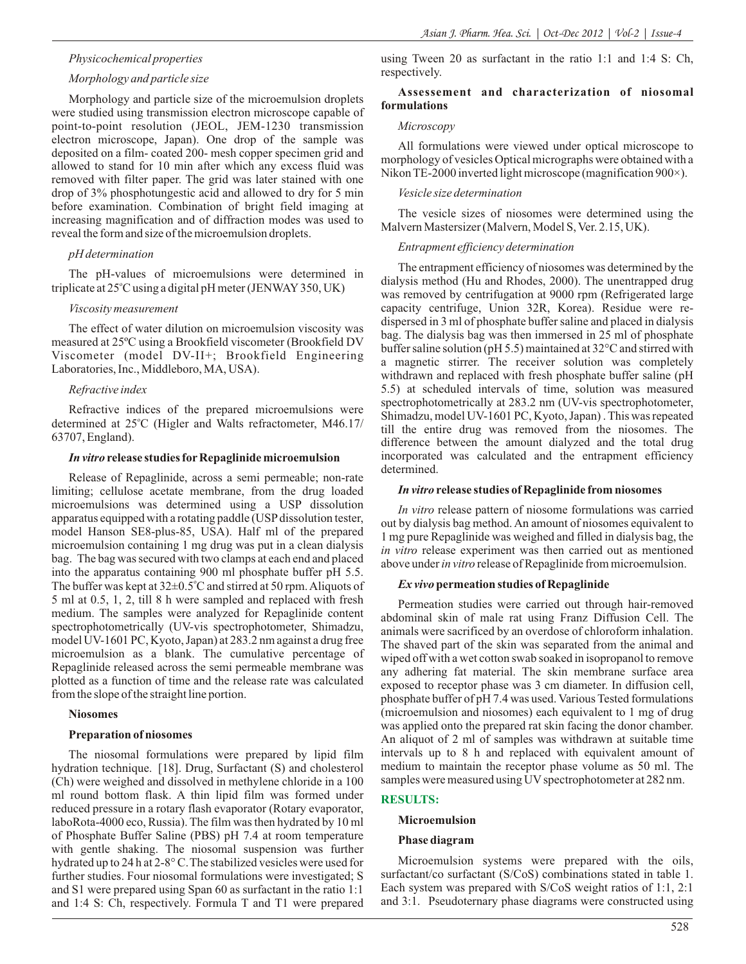# *Physicochemical properties*

#### *Morphology and particle size*

Morphology and particle size of the microemulsion droplets were studied using transmission electron microscope capable of point-to-point resolution (JEOL, JEM-1230 transmission electron microscope, Japan). One drop of the sample was deposited on a film- coated 200- mesh copper specimen grid and allowed to stand for 10 min after which any excess fluid was removed with filter paper. The grid was later stained with one drop of 3% phosphotungestic acid and allowed to dry for 5 min before examination. Combination of bright field imaging at increasing magnification and of diffraction modes was used to reveal the form and size of the microemulsion droplets.

# *pH determination*

The pH-values of microemulsions were determined in triplicate at 25°C using a digital pH meter (JENWAY 350, UK)

# *Viscosity measurement*

The effect of water dilution on microemulsion viscosity was measured at 25ºC using a Brookfield viscometer (Brookfield DV Viscometer (model DV-II+; Brookfield Engineering Laboratories, Inc., Middleboro, MA, USA).

# *Refractive index*

Refractive indices of the prepared microemulsions were determined at 25°C (Higler and Walts refractometer, M46.17/ 63707, England).

#### *In vitro* release studies for Repaglinide microemulsion

Release of Repaglinide, across a semi permeable; non-rate limiting; cellulose acetate membrane, from the drug loaded microemulsions was determined using a USP dissolution apparatus equipped with a rotating paddle (USPdissolution tester, model Hanson SE8-plus-85, USA). Half ml of the prepared microemulsion containing 1 mg drug was put in a clean dialysis bag. The bag was secured with two clamps at each end and placed into the apparatus containing 900 ml phosphate buffer pH 5.5. The buffer was kept at 32±0.5°C and stirred at 50 rpm. Aliquots of 5 ml at 0.5, 1, 2, till 8 h were sampled and replaced with fresh medium. The samples were analyzed for Repaglinide content spectrophotometrically (UV-vis spectrophotometer, Shimadzu, model UV-1601 PC, Kyoto, Japan) at 283.2 nm against a drug free microemulsion as a blank. The cumulative percentage of Repaglinide released across the semi permeable membrane was plotted as a function of time and the release rate was calculated from the slope of the straight line portion.

#### **Niosomes**

#### **Preparation of niosomes**

The niosomal formulations were prepared by lipid film hydration technique. [18]. Drug, Surfactant (S) and cholesterol (Ch) were weighed and dissolved in methylene chloride in a 100 ml round bottom flask. A thin lipid film was formed under reduced pressure in a rotary flash evaporator (Rotary evaporator, laboRota-4000 eco, Russia). The film was then hydrated by 10 ml of Phosphate Buffer Saline (PBS) pH 7.4 at room temperature with gentle shaking. The niosomal suspension was further hydrated up to 24 h at 2-8° C.The stabilized vesicles were used for further studies. Four niosomal formulations were investigated; S and S1 were prepared using Span 60 as surfactant in the ratio 1:1 and 1:4 S: Ch, respectively. Formula T and T1 were prepared

using Tween 20 as surfactant in the ratio 1:1 and 1:4 S: Ch, respectively.

# **Assessement and characterization of niosomal formulations**

## *Microscopy*

All formulations were viewed under optical microscope to morphology of vesicles Optical micrographs were obtained with a Nikon TE-2000 inverted light microscope (magnification 900×).

#### *Vesicle size determination*

The vesicle sizes of niosomes were determined using the Malvern Mastersizer (Malvern, Model S, Ver. 2.15, UK).

#### *Entrapment efficiency determination*

The entrapment efficiency of niosomes was determined by the dialysis method (Hu and Rhodes, 2000). The unentrapped drug was removed by centrifugation at 9000 rpm (Refrigerated large capacity centrifuge, Union 32R, Korea). Residue were redispersed in 3 ml of phosphate buffer saline and placed in dialysis bag. The dialysis bag was then immersed in 25 ml of phosphate buffer saline solution (pH 5.5) maintained at 32°C and stirred with a magnetic stirrer. The receiver solution was completely withdrawn and replaced with fresh phosphate buffer saline (pH 5.5) at scheduled intervals of time, solution was measured spectrophotometrically at 283.2 nm (UV-vis spectrophotometer, Shimadzu, model UV-1601 PC, Kyoto, Japan) . This was repeated till the entire drug was removed from the niosomes. The difference between the amount dialyzed and the total drug incorporated was calculated and the entrapment efficiency determined.

## *In vitro* **release studies of Repaglinide from niosomes**

*In vitro* release pattern of niosome formulations was carried out by dialysis bag method. An amount of niosomes equivalent to 1 mg pure Repaglinide was weighed and filled in dialysis bag, the *in vitro* release experiment was then carried out as mentioned above under *in vitro* release of Repaglinide from microemulsion.

#### *Ex vivo***permeation studies of Repaglinide**

Permeation studies were carried out through hair-removed abdominal skin of male rat using Franz Diffusion Cell. The animals were sacrificed by an overdose of chloroform inhalation. The shaved part of the skin was separated from the animal and wiped off with a wet cotton swab soaked in isopropanol to remove any adhering fat material. The skin membrane surface area exposed to receptor phase was 3 cm diameter. In diffusion cell, phosphate buffer of pH 7.4 was used. Various Tested formulations (microemulsion and niosomes) each equivalent to 1 mg of drug was applied onto the prepared rat skin facing the donor chamber. An aliquot of 2 ml of samples was withdrawn at suitable time intervals up to 8 h and replaced with equivalent amount of medium to maintain the receptor phase volume as 50 ml. The samples were measured using UV spectrophotometer at 282 nm.

# **RESULTS:**

# **Microemulsion**

#### **Phase diagram**

Microemulsion systems were prepared with the oils, surfactant/co surfactant (S/CoS) combinations stated in table 1. Each system was prepared with S/CoS weight ratios of 1:1, 2:1 and 3:1. Pseudoternary phase diagrams were constructed using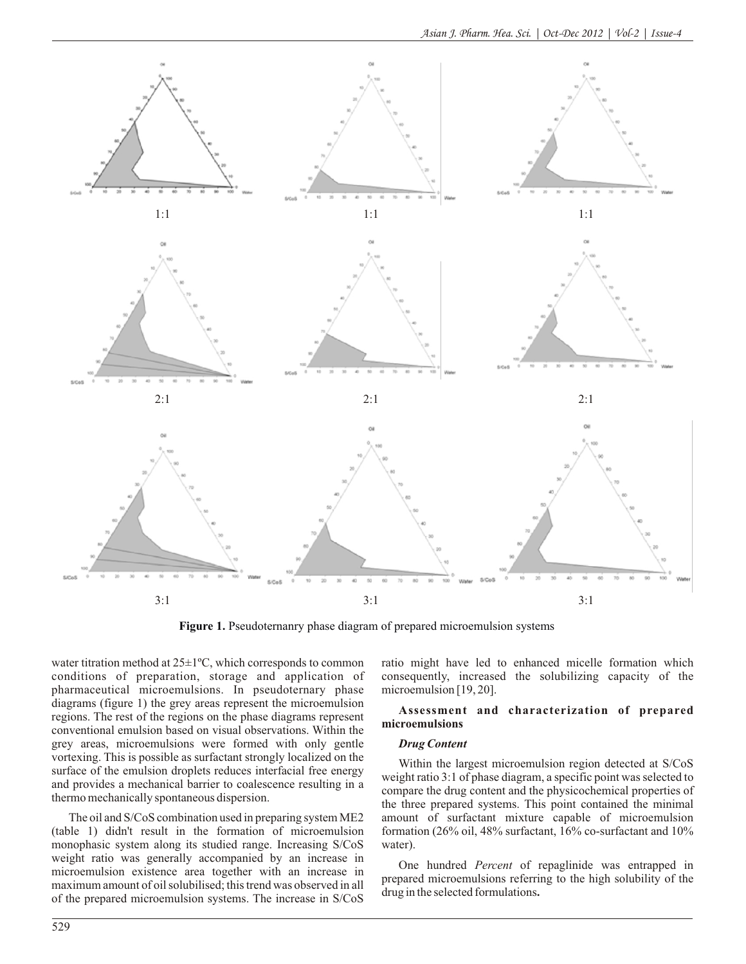

**Figure 1.** Pseudoternanry phase diagram of prepared microemulsion systems

water titration method at 25±1ºC, which corresponds to common conditions of preparation, storage and application of pharmaceutical microemulsions. In pseudoternary phase diagrams (figure 1) the grey areas represent the microemulsion regions. The rest of the regions on the phase diagrams represent conventional emulsion based on visual observations. Within the grey areas, microemulsions were formed with only gentle vortexing. This is possible as surfactant strongly localized on the surface of the emulsion droplets reduces interfacial free energy and provides a mechanical barrier to coalescence resulting in a thermo mechanically spontaneous dispersion.

The oil and S/CoS combination used in preparing system ME2 (table 1) didn't result in the formation of microemulsion monophasic system along its studied range. Increasing S/CoS weight ratio was generally accompanied by an increase in microemulsion existence area together with an increase in maximum amount of oil solubilised; this trend was observed in all of the prepared microemulsion systems. The increase in S/CoS

ratio might have led to enhanced micelle formation which consequently, increased the solubilizing capacity of the microemulsion [19, 20].

# **Assessment and characterization of prepared microemulsions**

# *Drug Content*

Within the largest microemulsion region detected at S/CoS weight ratio 3:1 of phase diagram, a specific point was selected to compare the drug content and the physicochemical properties of the three prepared systems. This point contained the minimal amount of surfactant mixture capable of microemulsion formation (26% oil, 48% surfactant, 16% co-surfactant and 10% water).

One hundred *Percent* of repaglinide was entrapped in prepared microemulsions referring to the high solubility of the drug in the selected formulations**.**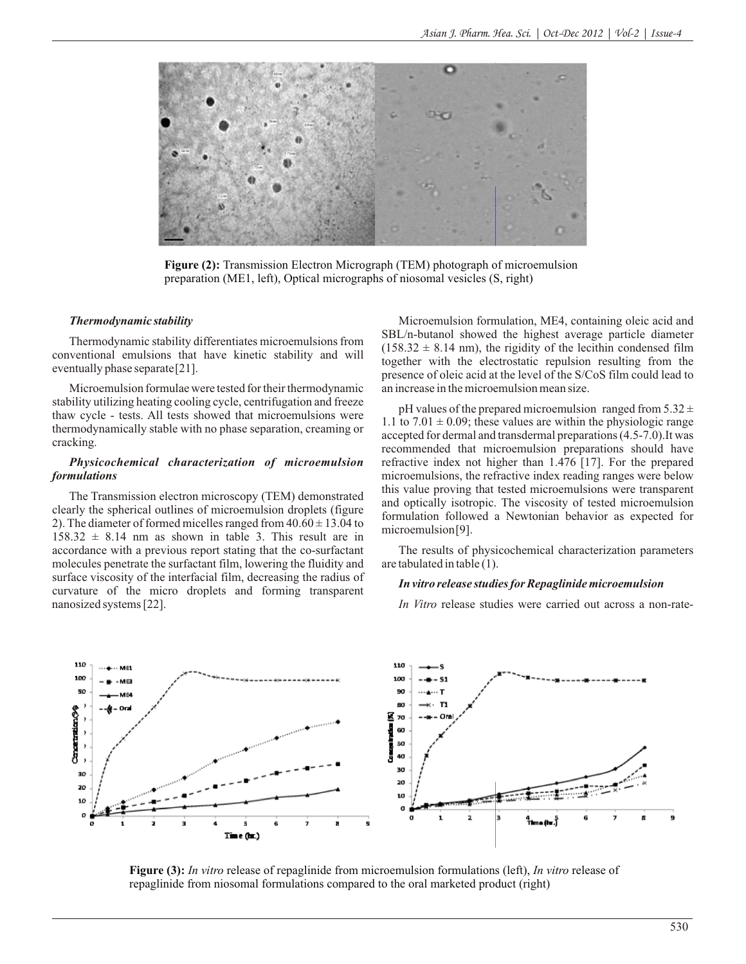

**Figure (2):** Transmission Electron Micrograph (TEM) photograph of microemulsion preparation (ME1, left), Optical micrographs of niosomal vesicles (S, right)

#### *Thermodynamic stability*

Thermodynamic stability differentiates microemulsions from conventional emulsions that have kinetic stability and will eventually phase separate[21].

Microemulsion formulae were tested for their thermodynamic stability utilizing heating cooling cycle, centrifugation and freeze thaw cycle - tests. All tests showed that microemulsions were thermodynamically stable with no phase separation, creaming or cracking.

# *Physicochemical characterization of microemulsion formulations*

The Transmission electron microscopy (TEM) demonstrated clearly the spherical outlines of microemulsion droplets (figure 2). The diameter of formed micelles ranged from  $40.60 \pm 13.04$  to  $158.32 \pm 8.14$  nm as shown in table 3. This result are in accordance with a previous report stating that the co-surfactant molecules penetrate the surfactant film, lowering the fluidity and surface viscosity of the interfacial film, decreasing the radius of curvature of the micro droplets and forming transparent nanosized systems [22].

Microemulsion formulation, ME4, containing oleic acid and SBL/n-butanol showed the highest average particle diameter  $(158.32 \pm 8.14 \text{ nm})$ , the rigidity of the lecithin condensed film together with the electrostatic repulsion resulting from the presence of oleic acid at the level of the S/CoS film could lead to an increase in the microemulsion mean size.

pH values of the prepared microemulsion ranged from  $5.32 \pm$ 1.1 to  $7.01 \pm 0.09$ ; these values are within the physiologic range accepted for dermal and transdermal preparations (4.5-7.0).It was recommended that microemulsion preparations should have refractive index not higher than 1.476 [17]. For the prepared microemulsions, the refractive index reading ranges were below this value proving that tested microemulsions were transparent and optically isotropic. The viscosity of tested microemulsion formulation followed a Newtonian behavior as expected for microemulsion[9].

The results of physicochemical characterization parameters are tabulated in table (1).

#### *In vitro release studies for Repaglinide microemulsion*

*In Vitro* release studies were carried out across a non-rate-



**Figure (3):** *In vitro* release of repaglinide from microemulsion formulations (left), *In vitro* release of repaglinide from niosomal formulations compared to the oral marketed product (right)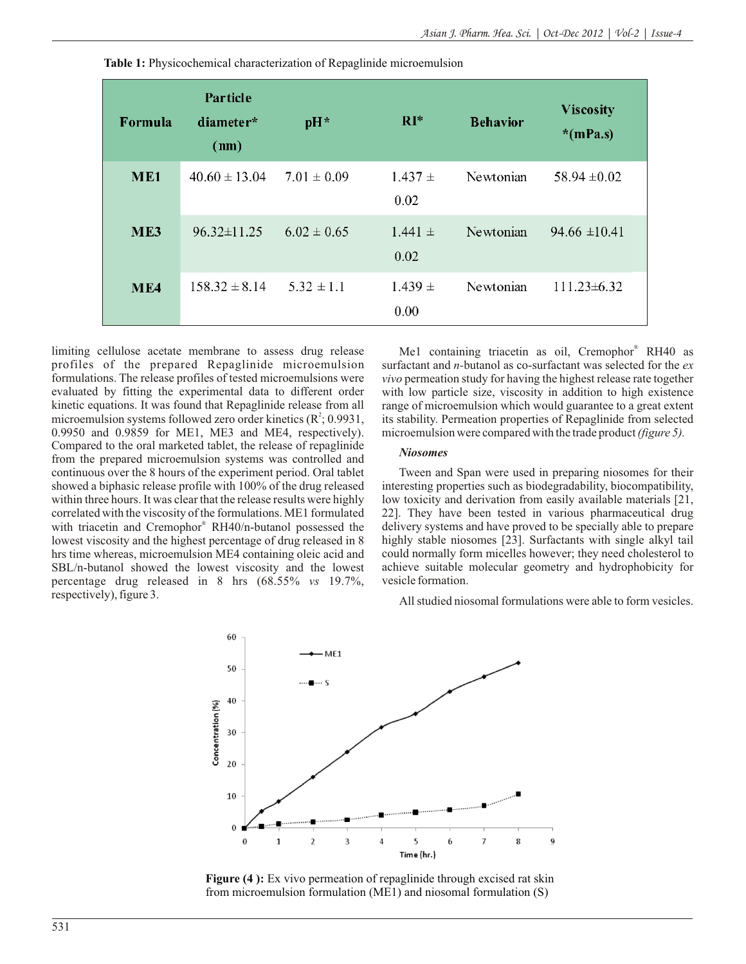| Formula         | Particle<br>diameter*<br>(nm) | pH*             | $RI^*$              | <b>Behavior</b> | <b>Viscosity</b><br>$*(mPa.s)$ |
|-----------------|-------------------------------|-----------------|---------------------|-----------------|--------------------------------|
| ME <sub>1</sub> | $40.60 \pm 13.04$             | $7.01 \pm 0.09$ | $1.437 \pm$<br>0.02 | Newtonian       | $58.94 \pm 0.02$               |
| ME3             | $96.32 \pm 11.25$             | $6.02 \pm 0.65$ | $1.441 \pm$<br>0.02 | Newtonian       | $94.66 \pm 10.41$              |
| ME <sub>4</sub> | $158.32 \pm 8.14$             | $5.32 \pm 1.1$  | $1.439 \pm$<br>0.00 | Newtonian       | $111.23\pm 6.32$               |

**Table 1:** Physicochemical characterization of Repaglinide microemulsion

limiting cellulose acetate membrane to assess drug release profiles of the prepared Repaglinide microemulsion formulations. The release profiles of tested microemulsions were evaluated by fitting the experimental data to different order kinetic equations. It was found that Repaglinide release from all microemulsion systems followed zero order kinetics  $(R^2; 0.9931,$ 0.9950 and 0.9859 for ME1, ME3 and ME4, respectively). Compared to the oral marketed tablet, the release of repaglinide from the prepared microemulsion systems was controlled and continuous over the 8 hours of the experiment period. Oral tablet showed a biphasic release profile with 100% of the drug released within three hours. It was clear that the release results were highly correlated with the viscosity of the formulations. ME1 formulated with triacetin and Cremophor® RH40/n-butanol possessed the lowest viscosity and the highest percentage of drug released in 8 hrs time whereas, microemulsion ME4 containing oleic acid and SBL/n-butanol showed the lowest viscosity and the lowest percentage drug released in 8 hrs (68.55% *vs* 19.7%, respectively), figure 3.

Me1 containing triacetin as oil, Cremophor<sup>®</sup> RH40 as surfactant and *n-*butanol as co-surfactant was selected for the *ex vivo* permeation study for having the highest release rate together with low particle size, viscosity in addition to high existence range of microemulsion which would guarantee to a great extent its stability. Permeation properties of Repaglinide from selected microemulsion were compared with the trade product *(figure 5).*

#### *Niosomes*

Tween and Span were used in preparing niosomes for their interesting properties such as biodegradability, biocompatibility, low toxicity and derivation from easily available materials [21, 22]. They have been tested in various pharmaceutical drug delivery systems and have proved to be specially able to prepare highly stable niosomes [23]. Surfactants with single alkyl tail could normally form micelles however; they need cholesterol to achieve suitable molecular geometry and hydrophobicity for vesicle formation.

All studied niosomal formulations were able to form vesicles.



**Figure (4 ):** Ex vivo permeation of repaglinide through excised rat skin from microemulsion formulation (ME1) and niosomal formulation (S)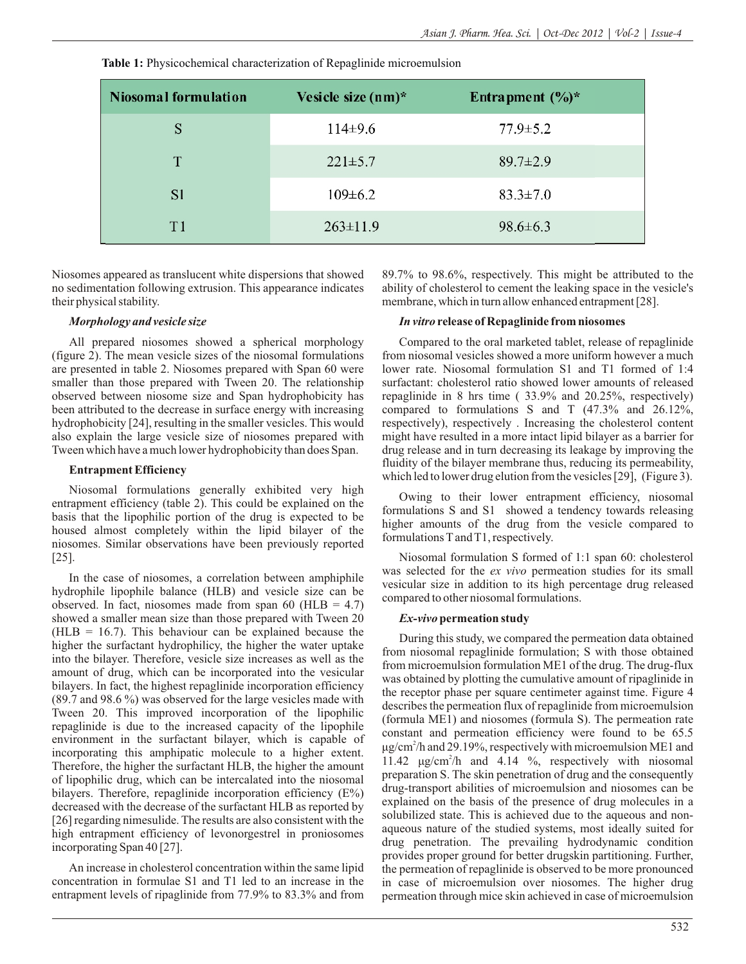Niosomal formulation Entrapment  $(\frac{6}{6})^*$ Vesicle size  $(nm)^*$ S  $114\pm9.6$  $77.9 \pm 5.2$ T  $221 \pm 5.7$  $89.7 \pm 2.9$ S<sub>1</sub>  $109 \pm 6.2$  $83.3 \pm 7.0$  $T1$  $263 \pm 11.9$ 98.6±6.3

**Table 1:** Physicochemical characterization of Repaglinide microemulsion

Niosomes appeared as translucent white dispersions that showed no sedimentation following extrusion. This appearance indicates their physical stability.

# *Morphology and vesicle size*

All prepared niosomes showed a spherical morphology (figure 2). The mean vesicle sizes of the niosomal formulations are presented in table 2. Niosomes prepared with Span 60 were smaller than those prepared with Tween 20. The relationship observed between niosome size and Span hydrophobicity has been attributed to the decrease in surface energy with increasing hydrophobicity [24], resulting in the smaller vesicles. This would also explain the large vesicle size of niosomes prepared with Tween which have a much lower hydrophobicity than does Span.

## **Entrapment Efficiency**

Niosomal formulations generally exhibited very high entrapment efficiency (table 2). This could be explained on the basis that the lipophilic portion of the drug is expected to be housed almost completely within the lipid bilayer of the niosomes. Similar observations have been previously reported [25].

In the case of niosomes, a correlation between amphiphile hydrophile lipophile balance (HLB) and vesicle size can be observed. In fact, niosomes made from span 60 (HLB =  $4.7$ ) showed a smaller mean size than those prepared with Tween 20 ( $HLB = 16.7$ ). This behaviour can be explained because the higher the surfactant hydrophilicy, the higher the water uptake into the bilayer. Therefore, vesicle size increases as well as the amount of drug, which can be incorporated into the vesicular bilayers. In fact, the highest repaglinide incorporation efficiency (89.7 and 98.6 %) was observed for the large vesicles made with Tween 20. This improved incorporation of the lipophilic repaglinide is due to the increased capacity of the lipophile environment in the surfactant bilayer, which is capable of incorporating this amphipatic molecule to a higher extent. Therefore, the higher the surfactant HLB, the higher the amount of lipophilic drug, which can be intercalated into the niosomal bilayers. Therefore, repaglinide incorporation efficiency (E%) decreased with the decrease of the surfactant HLB as reported by [26] regarding nimesulide. The results are also consistent with the high entrapment efficiency of levonorgestrel in proniosomes incorporating Span 40 [27].

An increase in cholesterol concentration within the same lipid concentration in formulae S1 and T1 led to an increase in the entrapment levels of ripaglinide from 77.9% to 83.3% and from

89.7% to 98.6%, respectively. This might be attributed to the ability of cholesterol to cement the leaking space in the vesicle's membrane, which in turn allow enhanced entrapment [28].

# *In vitro* **release of Repaglinide from niosomes**

Compared to the oral marketed tablet, release of repaglinide from niosomal vesicles showed a more uniform however a much lower rate. Niosomal formulation S1 and T1 formed of 1:4 surfactant: cholesterol ratio showed lower amounts of released repaglinide in 8 hrs time ( 33.9% and 20.25%, respectively) compared to formulations S and T (47.3% and 26.12%, respectively), respectively . Increasing the cholesterol content might have resulted in a more intact lipid bilayer as a barrier for drug release and in turn decreasing its leakage by improving the fluidity of the bilayer membrane thus, reducing its permeability, which led to lower drug elution from the vesicles [29], (Figure 3).

Owing to their lower entrapment efficiency, niosomal formulations S and S1 showed a tendency towards releasing higher amounts of the drug from the vesicle compared to formulations Tand T1, respectively.

Niosomal formulation S formed of 1:1 span 60: cholesterol was selected for the *ex vivo* permeation studies for its small vesicular size in addition to its high percentage drug released compared to other niosomal formulations.

# *Ex-vivo***permeation study**

During this study, we compared the permeation data obtained from niosomal repaglinide formulation; S with those obtained from microemulsion formulation ME1 of the drug. The drug-flux was obtained by plotting the cumulative amount of ripaglinide in the receptor phase per square centimeter against time. Figure 4 describes the permeation flux of repaglinide from microemulsion (formula ME1) and niosomes (formula S). The permeation rate constant and permeation efficiency were found to be 65.5 μg/cm<sup>2</sup>/h and 29.19%, respectively with microemulsion ME1 and 11.42 μg/cm<sup>2</sup>/h and 4.14 %, respectively with niosomal preparation S. The skin penetration of drug and the consequently drug-transport abilities of microemulsion and niosomes can be explained on the basis of the presence of drug molecules in a solubilized state. This is achieved due to the aqueous and nonaqueous nature of the studied systems, most ideally suited for drug penetration. The prevailing hydrodynamic condition provides proper ground for better drugskin partitioning. Further, the permeation of repaglinide is observed to be more pronounced in case of microemulsion over niosomes. The higher drug permeation through mice skin achieved in case of microemulsion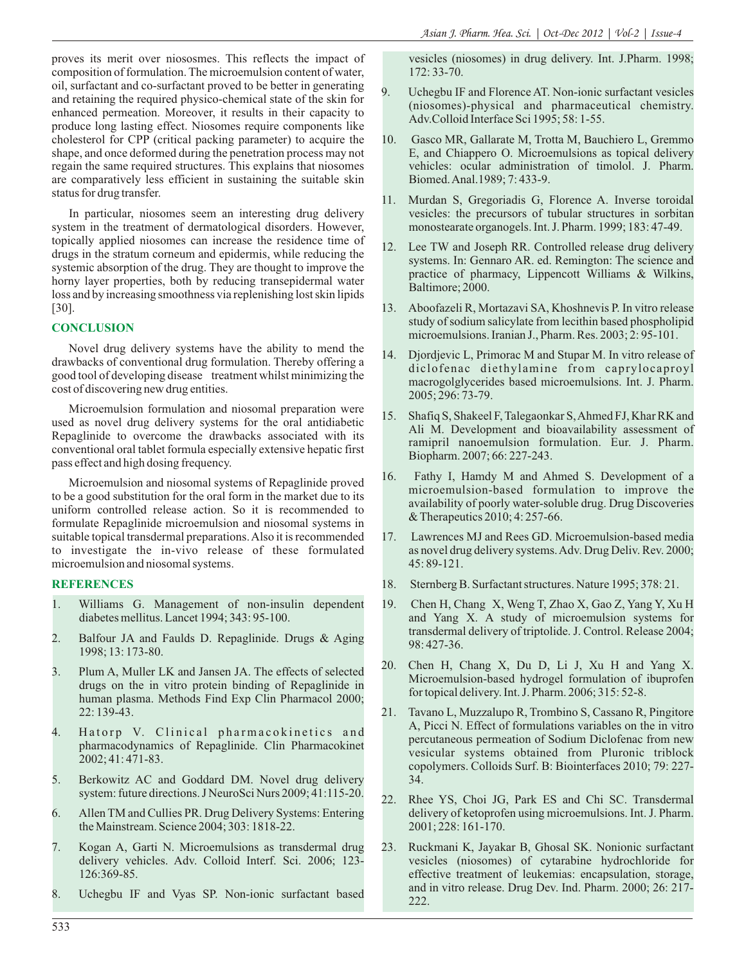proves its merit over niososmes. This reflects the impact of composition of formulation. The microemulsion content of water, oil, surfactant and co-surfactant proved to be better in generating and retaining the required physico-chemical state of the skin for enhanced permeation. Moreover, it results in their capacity to produce long lasting effect. Niosomes require components like cholesterol for CPP (critical packing parameter) to acquire the shape, and once deformed during the penetration process may not regain the same required structures. This explains that niosomes are comparatively less efficient in sustaining the suitable skin status for drug transfer.

In particular, niosomes seem an interesting drug delivery system in the treatment of dermatological disorders. However, topically applied niosomes can increase the residence time of drugs in the stratum corneum and epidermis, while reducing the systemic absorption of the drug. They are thought to improve the horny layer properties, both by reducing transepidermal water loss and by increasing smoothness via replenishing lost skin lipids [30].

# **CONCLUSION**

Novel drug delivery systems have the ability to mend the drawbacks of conventional drug formulation. Thereby offering a good tool of developing disease treatment whilst minimizing the cost of discovering new drug entities.

Microemulsion formulation and niosomal preparation were used as novel drug delivery systems for the oral antidiabetic Repaglinide to overcome the drawbacks associated with its conventional oral tablet formula especially extensive hepatic first pass effect and high dosing frequency.

Microemulsion and niosomal systems of Repaglinide proved to be a good substitution for the oral form in the market due to its uniform controlled release action. So it is recommended to formulate Repaglinide microemulsion and niosomal systems in suitable topical transdermal preparations. Also it is recommended to investigate the in-vivo release of these formulated microemulsion and niosomal systems.

# **REFERENCES**

- 1. Williams G. Management of non-insulin dependent diabetes mellitus. Lancet 1994; 343: 95-100.
- 2. Balfour JA and Faulds D. Repaglinide. Drugs & Aging 1998; 13: 173-80.
- 3. Plum A, Muller LK and Jansen JA. The effects of selected drugs on the in vitro protein binding of Repaglinide in human plasma. Methods Find Exp Clin Pharmacol 2000; 22: 139-43.
- 4. Hatorp V. Clinical pharmacokinetics and pharmacodynamics of Repaglinide. Clin Pharmacokinet 2002; 41: 471-83.
- 5. Berkowitz AC and Goddard DM. Novel drug delivery system: future directions. J NeuroSci Nurs 2009; 41:115-20.
- 6. Allen TM and Cullies PR. Drug Delivery Systems: Entering the Mainstream. Science 2004; 303: 1818-22.
- 7. Kogan A, Garti N. Microemulsions as transdermal drug delivery vehicles. Adv. Colloid Interf. Sci. 2006; 123- 126:369-85.
- 8. Uchegbu IF and Vyas SP. Non-ionic surfactant based

vesicles (niosomes) in drug delivery. Int. J.Pharm. 1998; 172: 33-70.

- 9. Uchegbu IF and Florence AT. Non-ionic surfactant vesicles (niosomes)-physical and pharmaceutical chemistry. Adv.Colloid Interface Sci 1995; 58: 1-55.
- 10. Gasco MR, Gallarate M, Trotta M, Bauchiero L, Gremmo E, and Chiappero O. Microemulsions as topical delivery vehicles: ocular administration of timolol. J. Pharm. Biomed. Anal.1989; 7: 433-9.
- 11. Murdan S, Gregoriadis G, Florence A. Inverse toroidal vesicles: the precursors of tubular structures in sorbitan monostearate organogels. Int. J. Pharm. 1999; 183: 47-49.
- 12. Lee TW and Joseph RR. Controlled release drug delivery systems. In: Gennaro AR. ed. Remington: The science and practice of pharmacy, Lippencott Williams & Wilkins, Baltimore; 2000.
- 13. Aboofazeli R, Mortazavi SA, Khoshnevis P. In vitro release study of sodium salicylate from lecithin based phospholipid microemulsions. Iranian J., Pharm. Res. 2003; 2: 95-101.
- 14. Djordjevic L, Primorac M and Stupar M. In vitro release of diclofenac diethylamine from caprylocaproyl macrogolglycerides based microemulsions. Int. J. Pharm. 2005; 296: 73-79.
- 15. Shafiq S, Shakeel F, Talegaonkar S, Ahmed FJ, Khar RK and Ali M. Development and bioavailability assessment of ramipril nanoemulsion formulation. Eur. J. Pharm. Biopharm. 2007; 66: 227-243.
- 16. Fathy I, Hamdy M and Ahmed S. Development of a microemulsion-based formulation to improve the availability of poorly water-soluble drug. Drug Discoveries & Therapeutics 2010; 4: 257-66.
- 17. Lawrences MJ and Rees GD. Microemulsion-based media as novel drug delivery systems. Adv. Drug Deliv. Rev. 2000; 45: 89-121.
- 18. Sternberg B. Surfactant structures. Nature 1995; 378: 21.
- 19. Chen H, Chang X, Weng T, Zhao X, Gao Z, Yang Y, Xu H and Yang X. A study of microemulsion systems for transdermal delivery of triptolide. J. Control. Release 2004; 98: 427-36.
- 20. Chen H, Chang X, Du D, Li J, Xu H and Yang X. Microemulsion-based hydrogel formulation of ibuprofen for topical delivery. Int. J. Pharm. 2006; 315: 52-8.
- 21. Tavano L, Muzzalupo R, Trombino S, Cassano R, Pingitore A, Picci N. Effect of formulations variables on the in vitro percutaneous permeation of Sodium Diclofenac from new vesicular systems obtained from Pluronic triblock copolymers. Colloids Surf. B: Biointerfaces 2010; 79: 227- 34.
- 22. Rhee YS, Choi JG, Park ES and Chi SC. Transdermal delivery of ketoprofen using microemulsions. Int. J. Pharm. 2001; 228: 161-170.
- 23. Ruckmani K, Jayakar B, Ghosal SK. Nonionic surfactant vesicles (niosomes) of cytarabine hydrochloride for effective treatment of leukemias: encapsulation, storage, and in vitro release. Drug Dev. Ind. Pharm. 2000; 26: 217- 222.